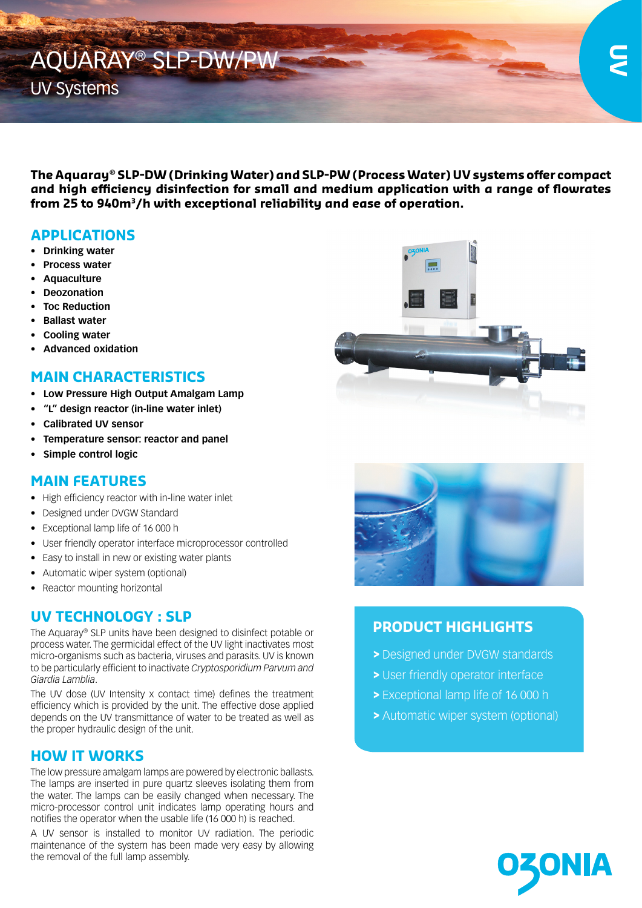

**The Aquaray® SLP-DW (Drinking Water) and SLP-PW (Process Water) UV systems offer compact and high efficiency disinfection for small and medium application with a range of flowrates from 25 to 940m3/h with exceptional reliability and ease of operation.**

## **APPLICATIONS**

- **• Drinking water**
- **• Process water**
- **• Aquaculture**
- **• Deozonation**
- **• Toc Reduction**
- **• Ballast water**
- **• Cooling water**
- **• Advanced oxidation**

#### **MAIN CHARACTERISTICS**

- **• Low Pressure High Output Amalgam Lamp**
- **• "L" design reactor (in-line water inlet)**
- **• Calibrated UV sensor**
- **• Temperature sensor: reactor and panel**
- **• Simple control logic**

### **MAIN FEATURES**

- High efficiency reactor with in-line water inlet
- Designed under DVGW Standard
- Exceptional lamp life of 16 000 h
- User friendly operator interface microprocessor controlled
- Easy to install in new or existing water plants
- Automatic wiper system (optional)
- Reactor mounting horizontal

# **UV TECHNOLOGY : SLP**

The Aquaray® SLP units have been designed to disinfect potable or process water. The germicidal effect of the UV light inactivates most micro-organisms such as bacteria, viruses and parasits. UV is known to be particularly efficient to inactivate *Cryptosporidium Parvum and Giardia Lamblia*.

The UV dose (UV Intensity x contact time) defines the treatment efficiency which is provided by the unit. The effective dose applied depends on the UV transmittance of water to be treated as well as the proper hydraulic design of the unit.

### **HOW IT WORKS**

The low pressure amalgam lamps are powered by electronic ballasts. The lamps are inserted in pure quartz sleeves isolating them from the water. The lamps can be easily changed when necessary. The micro-processor control unit indicates lamp operating hours and notifies the operator when the usable life (16 000 h) is reached.

A UV sensor is installed to monitor UV radiation. The periodic maintenance of the system has been made very easy by allowing the removal of the full lamp assembly.





## **PRODUCT HIGHLIGHTS**

- **>** Designed under DVGW standards
- **>** User friendly operator interface
- **>** Exceptional lamp life of 16 000 h
- **>** Automatic wiper system (optional)